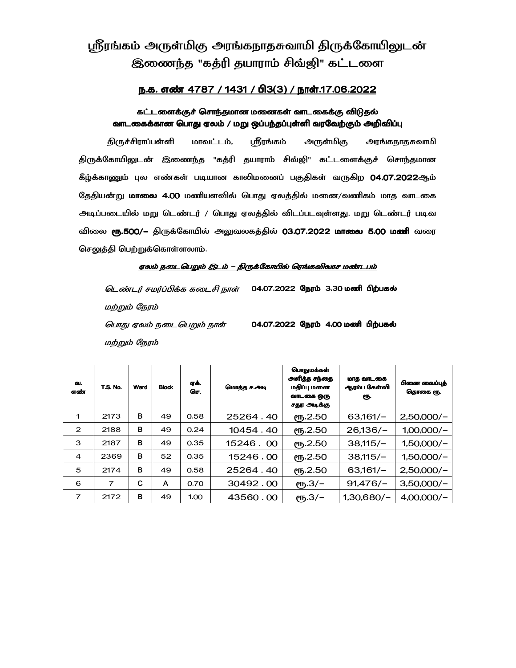# ஸ்ரீரங்கம் அருள்மிகு அரங்கநாதசுவாமி திருக்கோயிலுடன் இணைந்த "கத்ரி தயாராம் சிவ்ஜி" கட்டளை

## <u>ந.க. எண் 4787 / 1431 / பி3(3) / நாள்.17.06.2022</u>

## கட்டளைக்குச் சொந்தமான மனைகள் வாடகைக்கு விடுதல் வாடகைக்கான பொது ஏலம் / மறு ஒப்பந்தப்புள்ளி வரவேற்கும் அறிவிப்பு

திருச்சிராப்பள்ளி மாவட்டம், ஸ்ரீரங்கம் அருள்மிகு கு அரங்கநாதசுவாமி திருக்கோயிலுடன் இணைந்த "கத்ரி தயாராம் சிவ்ஜி" கட்டளைக்குச் சொந்தமான கீழ்க்காணும் புல எண்கள் படியான காலிமனைப் பகுதிகள் வருகிற 04.07.2022ஆம் தேதியன்று **மாலை 4.00** மணியளவில் பொது ஏலத்தில் மனை/வணிகம் மாத வாடகை அடிப்படையில் மறு டெண்டர் / பொது ஏலத்தில் விடப்படவுள்ளது. மறு டெண்டர் படிவ விலை **ரூ.500/–** திருக்கோயில் அலுவலகத்தில் 03.07.2022 மா**லை 5.00 மணி** வரை செலுத்தி பெற்றுக்கொள்ளலாம்.

### <u>எலம் நடைபெறும் இடம் – திருக்கோயில் ரெங்கவிலாச மண்டபம்</u>

*டெண்டர் சமர்ப்பிக்க கடைசி நாள்* 04.07.2022 நேரம் 3.30 மணி பிற்பகல் மற்றும் நேரம் பொது ஏலம் நடைபெறும் நாள் மற்றும் நேரம் 04.07.2022 நேரம் 4.00 மணி பிற்பகல்

| வ.<br>எண்      | <b>T.S. No.</b> | Ward | <b>Block</b> | gக்.<br>செ. | மொத்த ச.அடி | பொதுமக்கள்<br>அளித்த சந்தை<br>மதிப்பு மனை<br>வாடகை ஒரு<br>சதுர அடிக்கு | மாத வாடகை<br>ஆரம்ப கேள்வி<br>еҧ. | பினை வைப்பக்<br>தொகை ரூ. |
|----------------|-----------------|------|--------------|-------------|-------------|------------------------------------------------------------------------|----------------------------------|--------------------------|
| 1              | 2173            | в    | 49           | 0.58        | 25264.40    | ღந.2.50                                                                | $63,161/-$                       | $2,50,000/-$             |
| $\overline{2}$ | 2188            | B    | 49           | 0.24        | 10454.40    | $\ell$ Ҧ.2.50                                                          | $26,136/-$                       | $1,00,000/-$             |
| 3              | 2187            | B    | 49           | 0.35        | 15246.00    | $P_{\text{ID}}.2.50$                                                   | $38,115/-$                       | $1,50,000/-$             |
| $\overline{a}$ | 2369            | в    | 52           | 0.35        | 15246.00    | СП5.2.50                                                               | $38,115/-$                       | $1,50,000/-$             |
| 5              | 2174            | B    | 49           | 0.58        | 25264.40    | ღந.2.50                                                                | $63,161/-$                       | $2,50,000/-$             |
| 6              | 7               | C    | A            | 0.70        | 30492.00    | ரூ.3/-                                                                 | $91,476/-$                       | $3,50,000/-$             |
| $\overline{7}$ | 2172            | B    | 49           | 1.00        | 43560.00    | $(B,3/-)$                                                              | $1.30.680/-$                     | $4,00,000/-$             |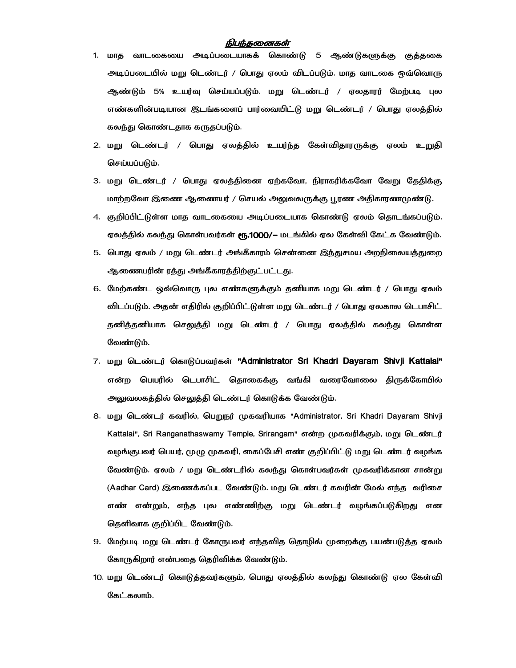### நிபந்தணைகள்

- 1. மாத வாடகையை அடிப்படையாகக் கொண்டு 5 ஆண்டுகளுக்கு குத்தகை அடிப்படையில் மறு டெண்டர் / பொது ஏலம் விடப்படும். மாத வாடகை ஒவ்வொரு ஆண்டும் 5% உயர்வு செய்யப்படும். மறு டெண்டர் / ஏலதாரர் மேற்படி புல எண்களின்படியான இடங்களைப் பார்வையிட்டு மறு டெண்டர் / பொது ஏலத்தில் கலந்து கொண்டதாக கருதப்படும்.
- 2. மறு டெண்டர் / பொது ஏலத்தில் உயர்ந்த கேள்விதாரருக்கு ஏலம் உறுதி செய்யப்படும்.
- 3. மறு டெண்டர் / பொது ஏலத்தினை ஏற்கவோ, நிராகரிக்கவோ வேறு தேதிக்கு மாற்றவோ இணை ஆணையர் / செயல் அலுவலருக்கு பூரண அதிகாரணமுண்டு.
- 4. குறிப்பிட்டுள்ள மாத வாடகையை அடிப்படையாக கொண்டு ஏலம் தொடங்கப்படும். ஏலத்தில் கலந்து கொள்பவர்கள் **ரூ.1000/–** மடங்கில் ஏல கேள்வி கேட்க வேண்டும்.
- 5. பொது ஏலம் / மறு டெண்டர் அங்கீகாரம் சென்னை இந்துசமய அறநிலையத்துறை ஆணையரின் ரத்து அங்கீகாரத்திற்குட்பட்டது.
- 6. மேற்கண்ட ஒவ்வொரு புல எண்களுக்கும் தனியாக மறு டெண்டர் / பொது ஏலம் விடப்படும். அதன் எதிரில் குறிப்பிட்டுள்ள மறு டெண்டர் / பொது ஏலகால டெபாசிட் தனித்தனியாக செலுத்தி மறு டெண்டர் / பொது ஏலத்தில் கலந்து கொள்ள வேண்டும்.
- 7. மறு டெண்டர் கொடுப்பவர்கள் **"Administrator Sri Khadri Dayaram Shivji Kattalai"** என்ற பெயரில் டெபாசிட் தொகைக்கு வங்கி வரைவோலை திருக்கோயில் அலுவலகத்தில் செலுத்தி டெண்டர் கொடுக்க வேண்டும்.
- 8. மறு டெண்டர் கவரில், பெறுநர் முகவரியாக "Administrator, Sri Khadri Dayaram Shivji Kattalai", Sri Ranganathaswamy Temple, Srirangam" என்ற முகவரிக்கும், மறு டெண்டர் வழங்குபவர் பெயர், முழு முகவரி, கைப்பேசி எண் குறிப்பிட்டு மறு டெண்டர் வழங்க வேண்டும். ஏலம் / மறு டெண்டரில் கலந்து கொள்பவர்கள் முகவரிக்கான சான்று (Aadhar Card) இணைக்கப்பட வேண்டும். மறு டெண்டர் கவரின் மேல் எந்த வரிசை எண் என்றும், எந்த புல எண்ணிற்கு மறு டெண்டர் வழங்கப்படுகிறது என தெளிவாக குறிப்பிட வேண்டும்.
- 9. மேற்படி மறு டெண்டர் கோருபவர் எந்தவித தொழில் முறைக்கு பயன்படுத்த ஏலம் கோருகிறார் என்பதை தெரிவிக்க வேண்டும்.
- 10. மறு டெண்டர் கொடுத்தவர்களும், பொது ஏலத்தில் கலந்து கொண்டு ஏல கேள்வி கேட்கலாம்.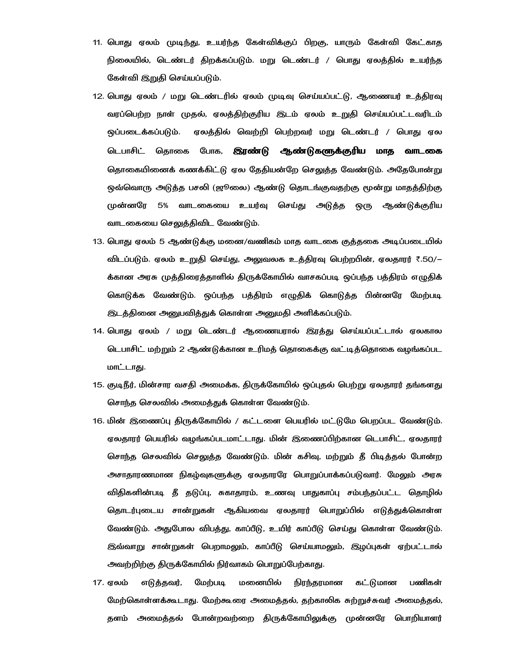- 11. பொது ஏலம் முடிந்து, உயர்ந்த கேள்விக்குப் பிறகு, யாரும் கேள்வி கேட்காத நிலையில், டெண்டர் திறக்கப்படும். மறு டெண்டர் / பொது ஏலத்தில் உயர்ந்த கேள்வி இறுதி செய்யப்படும்.
- 12. பொது ஏலம் / மறு டெண்டரில் ஏலம் முடிவு செய்யப்பட்டு, ஆணையர் உத்திரவு வரப்பெற்ற நாள் முதல், ஏலத்திற்குரிய இடம் ஏலம் உறுதி செய்யப்பட்டவரிடம் ஒப்படைக்கப்படும். ஏலத்தில் வெற்றி பெற்றவர் மறு டெண்டர் / பொது ஏல டெபாசிட் தொகை போக, **இரண்டு ஆண்டுகளுக்குரிய மாத வாடகை** தொகையினைக் கணக்கிட்டு ஏல கேகியன்றே செலுக்க வேண்டும். அகேபோன்று ஒவ்வொரு அடுத்த பசலி (ஜூலை) ஆண்டு தொடங்குவதற்கு மூன்று மாதத்திற்கு முன்னரே 5% வாடகையை உயர்வு செய்து அடுத்த ஒரு ஆண்டுக்குரிய வாடகையை செலுத்திவிட வேண்டும்.
- 13. பொது ஏலம் 5 ஆண்டுக்கு மனை/வணிகம் மாத வாடகை குத்தகை அடிப்படையில் விடப்படும். ஏலம் உறுதி செய்து, அலுவலக உத்திரவு பெற்றபின், ஏலதாரர் ₹.50/– க்கான அரசு முத்திரைத்தாளில் திருக்கோயில் வாசகப்படி ஒப்பந்த பத்திரம் எழுதிக் கொடுக்க வேண்டும். ஒப்பந்த பத்திரம் எழுதிக் கொடுத்த பின்னரே மேற்படி இடத்தினை அனுபவித்துக் கொள்ள அனுமதி அளிக்கப்படும்.
- 14. பொது ஏலம் / மறு டெண்டர் ஆணையரால் இரத்து செய்யப்பட்டால் ஏலகால டெபாசிட் மற்றும் 2 ஆண்டுக்கான உரிமத் தொகைக்கு வட்டித்தொகை வழங்கப்பட மாட்டாது.
- 15. குடிநீர், மின்சார வசதி அமைக்க, திருக்கோயில் ஒப்புதல் பெற்று ஏலதாரர் தங்களது சொந்த செலவில் அமைத்துக் கொள்ள வேண்டும்.
- 16. மின் இணைப்பு திருக்கோயில் / கட்டளை பெயரில் மட்டுமே பெறப்பட வேண்டும். ஏலதாரர் பெயரில் வழங்கப்படமாட்டாது. மின் இணைப்பிற்கான டெபாசிட், ஏலதாரர் சொந்த செலவில் செலுத்த வேண்டும். மின் கசிவு, மற்றும் தீ பிடித்தல் போன்ற அசாதாரணமான நிகழ்வுகளுக்கு ஏலதாரரே பொறுப்பாக்கப்படுவார். மேலும் அரசு விதிகளின்படி தீ தடுப்பு, சுகாதாரம், உணவு பாதுகாப்பு சம்பந்தப்பட்ட தொழில் தொடர்புடைய சான்றுகள் ஆகியவை ஏலதாரர் பொறுப்பில் எடுத்துக்கொள்ள வேண்டும். அதுபோல விபத்து, காப்பீடு, உயிர் காப்பீடு செய்து கொள்ள வேண்டும். இவ்வாறு சான்றுகள் பெறாமலும், காப்பீடு செய்யாமலும், இழப்புகள் ஏற்பட்டால் அவற்றிற்கு திருக்கோயில் நிர்வாகம் பொறுப்பேற்காது.
- மனையில் கட்டுமான 17. ஏலம் எடுத்தவர், மேற்படி நிரந்தரமான பணிகள் மேற்கொள்ளக்கூடாது. மேற்கூரை அமைத்தல், தற்காலிக சுற்றுச்சுவர் அமைத்தல், தளம் அமைத்தல் போன்றவற்றை திருக்கோயிலுக்கு முன்னரே பொறியாளர்